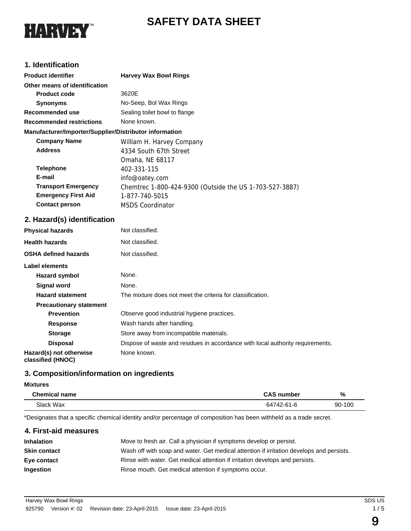# **SAFETY DATA SHEET**



# **1. Identification**

| <b>Harvey Wax Bowl Rings</b>                            |  |  |
|---------------------------------------------------------|--|--|
|                                                         |  |  |
| 3620E                                                   |  |  |
| No-Seep, Bol Wax Rings                                  |  |  |
| Sealing toilet bowl to flange                           |  |  |
| None known.                                             |  |  |
| Manufacturer/Importer/Supplier/Distributor information  |  |  |
| William H. Harvey Company                               |  |  |
| 4334 South 67th Street                                  |  |  |
| Omaha, NE 68117                                         |  |  |
| 402-331-115                                             |  |  |
| info@oatey.com                                          |  |  |
| Chemtrec 1-800-424-9300 (Outside the US 1-703-527-3887) |  |  |
| 1-877-740-5015                                          |  |  |
| <b>MSDS Coordinator</b>                                 |  |  |
|                                                         |  |  |

# **2. Hazard(s) identification**

| <b>Physical hazards</b>                      | Not classified.                                                                |
|----------------------------------------------|--------------------------------------------------------------------------------|
| <b>Health hazards</b>                        | Not classified.                                                                |
| <b>OSHA defined hazards</b>                  | Not classified.                                                                |
| Label elements                               |                                                                                |
| Hazard symbol                                | None.                                                                          |
| Signal word                                  | None.                                                                          |
| <b>Hazard statement</b>                      | The mixture does not meet the criteria for classification.                     |
| <b>Precautionary statement</b>               |                                                                                |
| <b>Prevention</b>                            | Observe good industrial hygiene practices.                                     |
| <b>Response</b>                              | Wash hands after handling.                                                     |
| <b>Storage</b>                               | Store away from incompatible materials.                                        |
| <b>Disposal</b>                              | Dispose of waste and residues in accordance with local authority requirements. |
| Hazard(s) not otherwise<br>classified (HNOC) | None known.                                                                    |

# **3. Composition/information on ingredients**

# **Mixtures**

| <b>Chemical name</b> | <b>CAS number</b> | %      |
|----------------------|-------------------|--------|
| Slack Wax            | 64742-61-6        | 90-100 |

\*Designates that a specific chemical identity and/or percentage of composition has been withheld as a trade secret.

| 4. First-aid measures |                                                                                          |
|-----------------------|------------------------------------------------------------------------------------------|
| <b>Inhalation</b>     | Move to fresh air. Call a physician if symptoms develop or persist.                      |
| <b>Skin contact</b>   | Wash off with soap and water. Get medical attention if irritation develops and persists. |
| Eye contact           | Rinse with water. Get medical attention if irritation develops and persists.             |
| Ingestion             | Rinse mouth. Get medical attention if symptoms occur.                                    |
|                       |                                                                                          |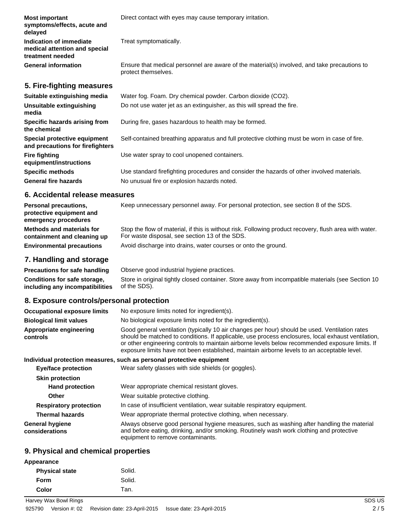| <b>Most important</b><br>symptoms/effects, acute and<br>delayed              | Direct contact with eyes may cause temporary irritation.                                                            |
|------------------------------------------------------------------------------|---------------------------------------------------------------------------------------------------------------------|
| Indication of immediate<br>medical attention and special<br>treatment needed | Treat symptomatically.                                                                                              |
| <b>General information</b>                                                   | Ensure that medical personnel are aware of the material(s) involved, and take precautions to<br>protect themselves. |
| 5. Fire-fighting measures                                                    |                                                                                                                     |
| Suitable extinguishing media                                                 | Water fog. Foam. Dry chemical powder. Carbon dioxide (CO2).                                                         |
| Unsuitable extinguishing<br>media                                            | Do not use water jet as an extinguisher, as this will spread the fire.                                              |
| Specific hazards arising from<br>the chemical                                | During fire, gases hazardous to health may be formed.                                                               |
| Special protective equipment<br>and precautions for firefighters             | Self-contained breathing apparatus and full protective clothing must be worn in case of fire.                       |
| <b>Fire fighting</b><br>equipment/instructions                               | Use water spray to cool unopened containers.                                                                        |
| <b>Specific methods</b>                                                      | Use standard firefighting procedures and consider the hazards of other involved materials.                          |
| <b>General fire hazards</b>                                                  | No unusual fire or explosion hazards noted.                                                                         |

#### **6. Accidental release measures**

| <b>Personal precautions,</b><br>protective equipment and<br>emergency procedures | Keep unnecessary personnel away. For personal protection, see section 8 of the SDS.                                                                      |
|----------------------------------------------------------------------------------|----------------------------------------------------------------------------------------------------------------------------------------------------------|
| Methods and materials for<br>containment and cleaning up                         | Stop the flow of material, if this is without risk. Following product recovery, flush area with water.<br>For waste disposal, see section 13 of the SDS. |
| <b>Environmental precautions</b>                                                 | Avoid discharge into drains, water courses or onto the ground.                                                                                           |

## **7. Handling and storage**

**Precautions for safe handling** Observe good industrial hygiene practices. Store in original tightly closed container. Store away from incompatible materials (see Section 10 of the SDS). **Conditions for safe storage, including any incompatibilities**

#### **8. Exposure controls/personal protection**

| <b>Occupational exposure limits</b> | No exposure limits noted for ingredient(s).                                                                                                                                                                                                                                                                                                                                                            |  |
|-------------------------------------|--------------------------------------------------------------------------------------------------------------------------------------------------------------------------------------------------------------------------------------------------------------------------------------------------------------------------------------------------------------------------------------------------------|--|
| <b>Biological limit values</b>      | No biological exposure limits noted for the ingredient(s).                                                                                                                                                                                                                                                                                                                                             |  |
| Appropriate engineering<br>controls | Good general ventilation (typically 10 air changes per hour) should be used. Ventilation rates<br>should be matched to conditions. If applicable, use process enclosures, local exhaust ventilation,<br>or other engineering controls to maintain airborne levels below recommended exposure limits. If<br>exposure limits have not been established, maintain airborne levels to an acceptable level. |  |
|                                     | Individual protection measures, such as personal protective equipment                                                                                                                                                                                                                                                                                                                                  |  |
| <b>Eye/face protection</b>          | Wear safety glasses with side shields (or goggles).                                                                                                                                                                                                                                                                                                                                                    |  |
| <b>Skin protection</b>              |                                                                                                                                                                                                                                                                                                                                                                                                        |  |
| <b>Hand protection</b>              | Wear appropriate chemical resistant gloves.                                                                                                                                                                                                                                                                                                                                                            |  |
| Other                               | Wear suitable protective clothing.                                                                                                                                                                                                                                                                                                                                                                     |  |

| <b>Respiratory protection</b> | In case of insufficient ventilation, wear suitable respiratory equipment. |
|-------------------------------|---------------------------------------------------------------------------|
|-------------------------------|---------------------------------------------------------------------------|

**Thermal hazards** Wear appropriate thermal protective clothing, when necessary.

Always observe good personal hygiene measures, such as washing after handling the material and before eating, drinking, and/or smoking. Routinely wash work clothing and protective equipment to remove contaminants. **General hygiene considerations**

## **9. Physical and chemical properties**

| Appearance            |        |        |
|-----------------------|--------|--------|
| <b>Physical state</b> | Solid. |        |
| <b>Form</b>           | Solid. |        |
| <b>Color</b>          | Tan.   |        |
| Harvey Wax Bowl Rings |        | SDS US |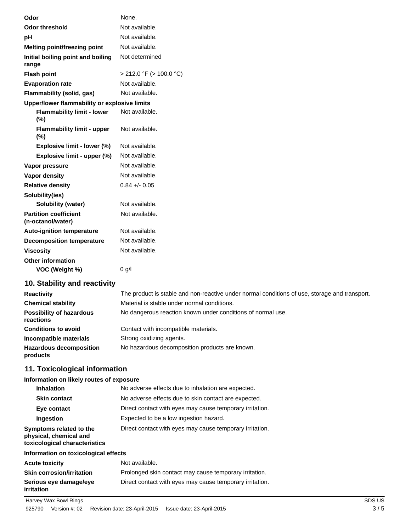| Odor                                              | None.                        |
|---------------------------------------------------|------------------------------|
| <b>Odor threshold</b>                             | Not available.               |
| рH                                                | Not available.               |
| Melting point/freezing point                      | Not available.               |
| Initial boiling point and boiling<br>range        | Not determined               |
| <b>Flash point</b>                                | $>$ 212.0 °F ( $>$ 100.0 °C) |
| <b>Evaporation rate</b>                           | Not available.               |
| Flammability (solid, gas)                         | Not available.               |
| Upper/lower flammability or explosive limits      |                              |
| <b>Flammability limit - lower</b><br>(%)          | Not available.               |
| <b>Flammability limit - upper</b><br>$(\%)$       | Not available.               |
| Explosive limit - lower (%)                       | Not available.               |
| Explosive limit - upper (%)                       | Not available.               |
| Vapor pressure                                    | Not available.               |
| Vapor density                                     | Not available.               |
| <b>Relative density</b>                           | $0.84 + - 0.05$              |
| Solubility(ies)                                   |                              |
| Solubility (water)                                | Not available.               |
| <b>Partition coefficient</b><br>(n-octanol/water) | Not available.               |
| <b>Auto-ignition temperature</b>                  | Not available.               |
| <b>Decomposition temperature</b>                  | Not available.               |
| <b>Viscosity</b>                                  | Not available.               |
| <b>Other information</b>                          |                              |
| VOC (Weight %)                                    | 0 g/l                        |
|                                                   |                              |

# **10. Stability and reactivity**

| <b>Reactivity</b>                            | The product is stable and non-reactive under normal conditions of use, storage and transport. |  |
|----------------------------------------------|-----------------------------------------------------------------------------------------------|--|
| <b>Chemical stability</b>                    | Material is stable under normal conditions.                                                   |  |
| <b>Possibility of hazardous</b><br>reactions | No dangerous reaction known under conditions of normal use.                                   |  |
| <b>Conditions to avoid</b>                   | Contact with incompatible materials.                                                          |  |
| Incompatible materials                       | Strong oxidizing agents.                                                                      |  |
| <b>Hazardous decomposition</b><br>products   | No hazardous decomposition products are known.                                                |  |

# **11. Toxicological information**

## **Information on likely routes of exposure**

| Inhalation                                                                         | No adverse effects due to inhalation are expected.       |  |
|------------------------------------------------------------------------------------|----------------------------------------------------------|--|
| <b>Skin contact</b>                                                                | No adverse effects due to skin contact are expected.     |  |
| Eye contact                                                                        | Direct contact with eyes may cause temporary irritation. |  |
| Ingestion                                                                          | Expected to be a low ingestion hazard.                   |  |
| Symptoms related to the<br>physical, chemical and<br>toxicological characteristics | Direct contact with eyes may cause temporary irritation. |  |
| Information on toxicological effects                                               |                                                          |  |
| <b>Acute toxicity</b>                                                              | Not available.                                           |  |
| <b>Skin corrosion/irritation</b>                                                   | Prolonged skin contact may cause temporary irritation.   |  |
| Serious eye damage/eye<br>irritation                                               | Direct contact with eyes may cause temporary irritation. |  |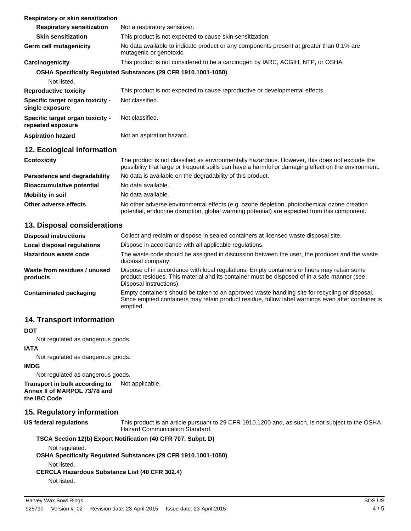| Respiratory or skin sensitization                     |                                                                                                                                                                                                       |  |
|-------------------------------------------------------|-------------------------------------------------------------------------------------------------------------------------------------------------------------------------------------------------------|--|
| <b>Respiratory sensitization</b>                      | Not a respiratory sensitizer.                                                                                                                                                                         |  |
| <b>Skin sensitization</b>                             | This product is not expected to cause skin sensitization.                                                                                                                                             |  |
| Germ cell mutagenicity                                | No data available to indicate product or any components present at greater than 0.1% are<br>mutagenic or genotoxic.                                                                                   |  |
| Carcinogenicity                                       | This product is not considered to be a carcinogen by IARC, ACGIH, NTP, or OSHA.                                                                                                                       |  |
|                                                       | OSHA Specifically Regulated Substances (29 CFR 1910.1001-1050)                                                                                                                                        |  |
| Not listed.                                           |                                                                                                                                                                                                       |  |
| <b>Reproductive toxicity</b>                          | This product is not expected to cause reproductive or developmental effects.                                                                                                                          |  |
| Specific target organ toxicity -<br>single exposure   | Not classified.                                                                                                                                                                                       |  |
| Specific target organ toxicity -<br>repeated exposure | Not classified.                                                                                                                                                                                       |  |
| <b>Aspiration hazard</b>                              | Not an aspiration hazard.                                                                                                                                                                             |  |
| 12. Ecological information                            |                                                                                                                                                                                                       |  |
| <b>Ecotoxicity</b>                                    | The product is not classified as environmentally hazardous. However, this does not exclude the<br>possibility that large or frequent spills can have a harmful or damaging effect on the environment. |  |
| <b>Persistence and degradability</b>                  | No data is available on the degradability of this product.                                                                                                                                            |  |
| <b>Bioaccumulative potential</b>                      | No data available.                                                                                                                                                                                    |  |
| <b>Mobility in soil</b>                               | No data available.                                                                                                                                                                                    |  |
| Other adverse effects                                 | No other adverse environmental effects (e.g. ozone depletion, photochemical ozone creation                                                                                                            |  |

# **13. Disposal considerations**

| <b>Disposal instructions</b>             | Collect and reclaim or dispose in sealed containers at licensed waste disposal site.                                                                                                                                   |  |
|------------------------------------------|------------------------------------------------------------------------------------------------------------------------------------------------------------------------------------------------------------------------|--|
| <b>Local disposal regulations</b>        | Dispose in accordance with all applicable regulations.                                                                                                                                                                 |  |
| Hazardous waste code                     | The waste code should be assigned in discussion between the user, the producer and the waste<br>disposal company.                                                                                                      |  |
| Waste from residues / unused<br>products | Dispose of in accordance with local regulations. Empty containers or liners may retain some<br>product residues. This material and its container must be disposed of in a safe manner (see:<br>Disposal instructions). |  |
| <b>Contaminated packaging</b>            | Empty containers should be taken to an approved waste handling site for recycling or disposal.<br>Since emptied containers may retain product residue, follow label warnings even after container is<br>emptied.       |  |

# **14. Transport information**

#### **DOT**

Not regulated as dangerous goods.

#### **IATA**

Not regulated as dangerous goods.

#### **IMDG**

Not regulated as dangerous goods.

**Transport in bulk according to** Not applicable. **Annex II of MARPOL 73/78 and the IBC Code**

## **15. Regulatory information**

**US federal regulations**

This product is an article pursuant to 29 CFR 1910.1200 and, as such, is not subject to the OSHA Hazard Communication Standard.

potential, endocrine disruption, global warming potential) are expected from this component.

## **TSCA Section 12(b) Export Notification (40 CFR 707, Subpt. D)**

Not regulated.

#### **OSHA Specifically Regulated Substances (29 CFR 1910.1001-1050)**

Not listed.

# **CERCLA Hazardous Substance List (40 CFR 302.4)**

Not listed.